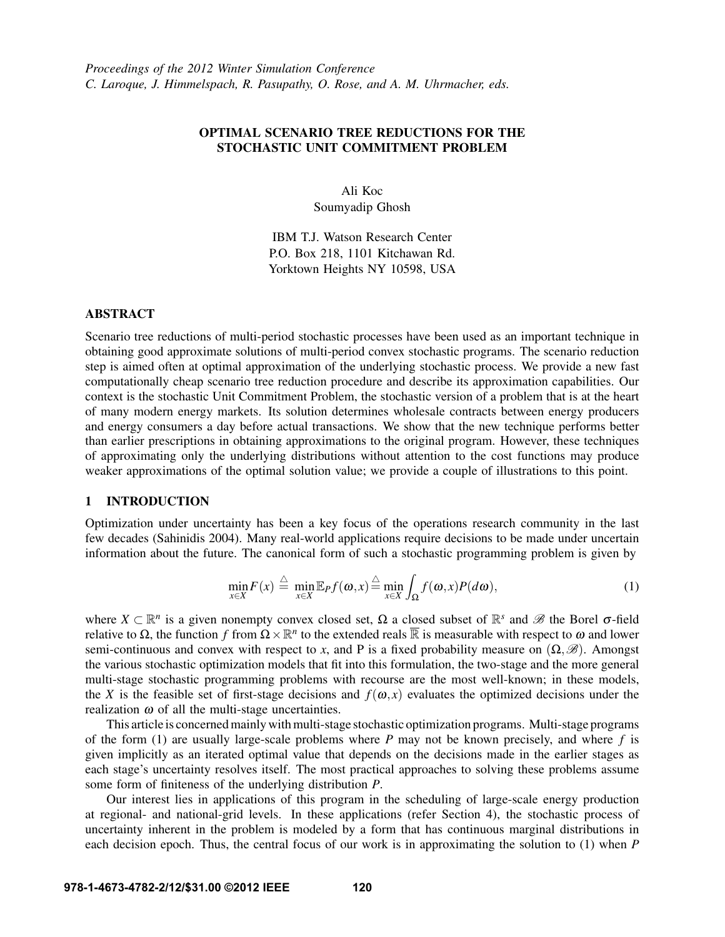## OPTIMAL SCENARIO TREE REDUCTIONS FOR THE STOCHASTIC UNIT COMMITMENT PROBLEM

Ali Koc Soumyadip Ghosh

IBM T.J. Watson Research Center P.O. Box 218, 1101 Kitchawan Rd. Yorktown Heights NY 10598, USA

#### ABSTRACT

Scenario tree reductions of multi-period stochastic processes have been used as an important technique in obtaining good approximate solutions of multi-period convex stochastic programs. The scenario reduction step is aimed often at optimal approximation of the underlying stochastic process. We provide a new fast computationally cheap scenario tree reduction procedure and describe its approximation capabilities. Our context is the stochastic Unit Commitment Problem, the stochastic version of a problem that is at the heart of many modern energy markets. Its solution determines wholesale contracts between energy producers and energy consumers a day before actual transactions. We show that the new technique performs better than earlier prescriptions in obtaining approximations to the original program. However, these techniques of approximating only the underlying distributions without attention to the cost functions may produce weaker approximations of the optimal solution value; we provide a couple of illustrations to this point.

# 1 INTRODUCTION

Optimization under uncertainty has been a key focus of the operations research community in the last few decades (Sahinidis 2004). Many real-world applications require decisions to be made under uncertain information about the future. The canonical form of such a stochastic programming problem is given by

$$
\min_{x \in X} F(x) \stackrel{\triangle}{=} \min_{x \in X} \mathbb{E}_P f(\boldsymbol{\omega}, x) \stackrel{\triangle}{=} \min_{x \in X} \int_{\Omega} f(\boldsymbol{\omega}, x) P(d\boldsymbol{\omega}), \tag{1}
$$

where  $X \subset \mathbb{R}^n$  is a given nonempty convex closed set,  $\Omega$  a closed subset of  $\mathbb{R}^s$  and  $\mathscr{B}$  the Borel  $\sigma$ -field relative to Ω, the function *f* from  $\Omega \times \mathbb{R}^n$  to the extended reals  $\overline{\mathbb{R}}$  is measurable with respect to ω and lower semi-continuous and convex with respect to *x*, and P is a fixed probability measure on  $(\Omega, \mathscr{B})$ . Amongst the various stochastic optimization models that fit into this formulation, the two-stage and the more general multi-stage stochastic programming problems with recourse are the most well-known; in these models, the *X* is the feasible set of first-stage decisions and  $f(\omega, x)$  evaluates the optimized decisions under the realization  $\omega$  of all the multi-stage uncertainties.

This article is concerned mainly with multi-stage stochastic optimization programs. Multi-stage programs of the form (1) are usually large-scale problems where *P* may not be known precisely, and where *f* is given implicitly as an iterated optimal value that depends on the decisions made in the earlier stages as each stage's uncertainty resolves itself. The most practical approaches to solving these problems assume some form of finiteness of the underlying distribution *P*.

Our interest lies in applications of this program in the scheduling of large-scale energy production at regional- and national-grid levels. In these applications (refer Section 4), the stochastic process of uncertainty inherent in the problem is modeled by a form that has continuous marginal distributions in each decision epoch. Thus, the central focus of our work is in approximating the solution to (1) when *P*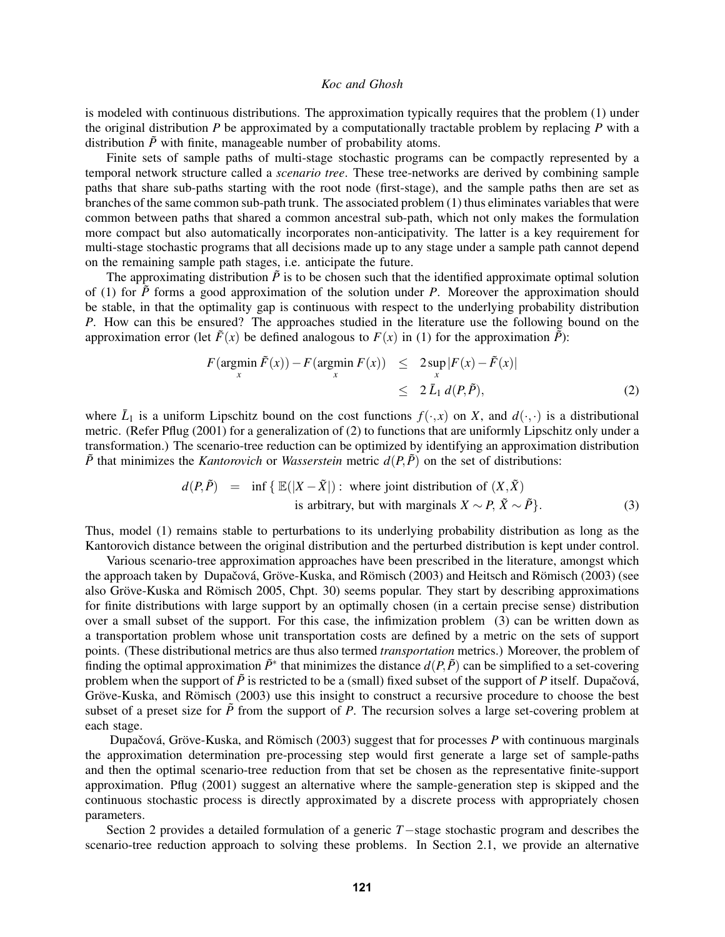is modeled with continuous distributions. The approximation typically requires that the problem (1) under the original distribution *P* be approximated by a computationally tractable problem by replacing *P* with a distribution  $\tilde{P}$  with finite, manageable number of probability atoms.

Finite sets of sample paths of multi-stage stochastic programs can be compactly represented by a temporal network structure called a *scenario tree*. These tree-networks are derived by combining sample paths that share sub-paths starting with the root node (first-stage), and the sample paths then are set as branches of the same common sub-path trunk. The associated problem (1) thus eliminates variables that were common between paths that shared a common ancestral sub-path, which not only makes the formulation more compact but also automatically incorporates non-anticipativity. The latter is a key requirement for multi-stage stochastic programs that all decisions made up to any stage under a sample path cannot depend on the remaining sample path stages, i.e. anticipate the future.

The approximating distribution  $\tilde{P}$  is to be chosen such that the identified approximate optimal solution of (1) for  $\tilde{P}$  forms a good approximation of the solution under *P*. Moreover the approximation should be stable, in that the optimality gap is continuous with respect to the underlying probability distribution *P.* How can this be ensured? The approaches studied in the literature use the following bound on the approximation error (let  $\tilde{F}(x)$  be defined analogous to  $F(x)$  in (1) for the approximation  $\tilde{P}$ ):

$$
F(\operatorname*{argmin}_{x} \tilde{F}(x)) - F(\operatorname*{argmin}_{x} F(x)) \leq 2 \sup_{x} |F(x) - \tilde{F}(x)|
$$
  
\n
$$
\leq 2 \bar{L}_1 d(P, \tilde{P}),
$$
\n(2)

where  $\bar{L}_1$  is a uniform Lipschitz bound on the cost functions  $f(\cdot,x)$  on *X*, and  $d(\cdot,\cdot)$  is a distributional metric. (Refer Pflug (2001) for a generalization of (2) to functions that are uniformly Lipschitz only under a transformation.) The scenario-tree reduction can be optimized by identifying an approximation distribution  $\tilde{P}$  that minimizes the *Kantorovich* or *Wasserstein* metric  $d(P, \tilde{P})$  on the set of distributions:

$$
d(P, \tilde{P}) = \inf \{ \mathbb{E}(|X - \tilde{X}|) : \text{ where joint distribution of } (X, \tilde{X})
$$
  
is arbitrary, but with marginals  $X \sim P, \tilde{X} \sim \tilde{P} \}.$  (3)

Thus, model (1) remains stable to perturbations to its underlying probability distribution as long as the Kantorovich distance between the original distribution and the perturbed distribution is kept under control.

Various scenario-tree approximation approaches have been prescribed in the literature, amongst which the approach taken by Dupačová, Gröve-Kuska, and Römisch (2003) and Heitsch and Römisch (2003) (see also Gröve-Kuska and Römisch 2005, Chpt. 30) seems popular. They start by describing approximations for finite distributions with large support by an optimally chosen (in a certain precise sense) distribution over a small subset of the support. For this case, the infimization problem (3) can be written down as a transportation problem whose unit transportation costs are defined by a metric on the sets of support points. (These distributional metrics are thus also termed *transportation* metrics.) Moreover, the problem of finding the optimal approximation  $\tilde{P}^*$  that minimizes the distance  $d(P, \tilde{P})$  can be simplified to a set-covering problem when the support of  $\tilde{P}$  is restricted to be a (small) fixed subset of the support of  $P$  itself. Dupačová, Gröve-Kuska, and Römisch (2003) use this insight to construct a recursive procedure to choose the best subset of a preset size for  $\tilde{P}$  from the support of *P*. The recursion solves a large set-covering problem at each stage.

Dupačová, Gröve-Kuska, and Römisch (2003) suggest that for processes *P* with continuous marginals the approximation determination pre-processing step would first generate a large set of sample-paths and then the optimal scenario-tree reduction from that set be chosen as the representative finite-support approximation. Pflug (2001) suggest an alternative where the sample-generation step is skipped and the continuous stochastic process is directly approximated by a discrete process with appropriately chosen parameters.

Section 2 provides a detailed formulation of a generic *T*−stage stochastic program and describes the scenario-tree reduction approach to solving these problems. In Section 2.1, we provide an alternative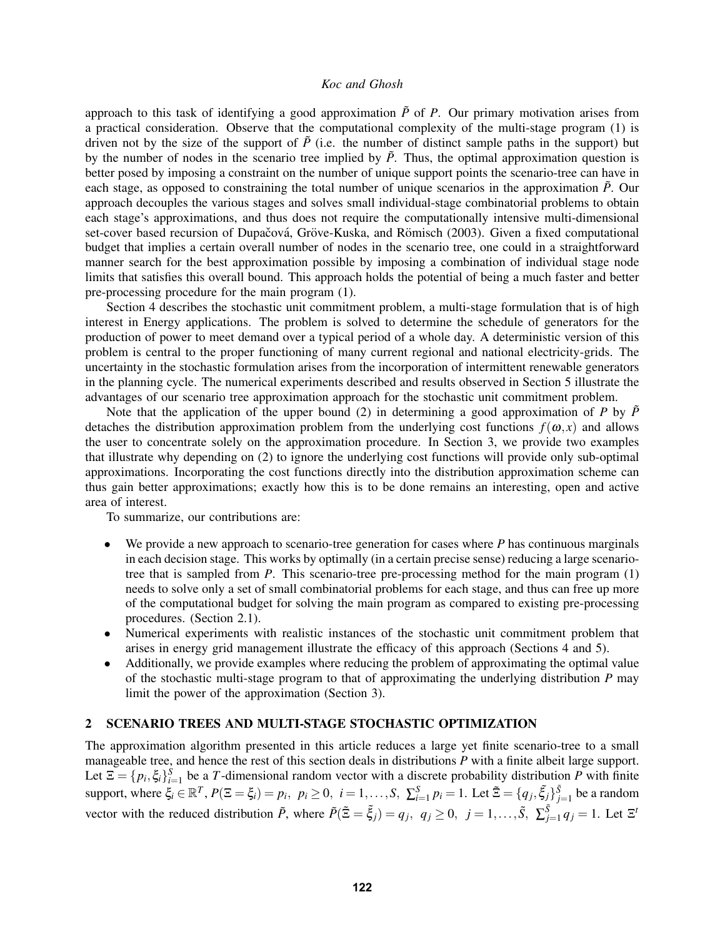approach to this task of identifying a good approximation  $\tilde{P}$  of *P*. Our primary motivation arises from a practical consideration. Observe that the computational complexity of the multi-stage program (1) is driven not by the size of the support of  $\tilde{P}$  (i.e. the number of distinct sample paths in the support) but by the number of nodes in the scenario tree implied by  $\tilde{P}$ . Thus, the optimal approximation question is better posed by imposing a constraint on the number of unique support points the scenario-tree can have in each stage, as opposed to constraining the total number of unique scenarios in the approximation  $\tilde{P}$ . Our approach decouples the various stages and solves small individual-stage combinatorial problems to obtain each stage's approximations, and thus does not require the computationally intensive multi-dimensional set-cover based recursion of Dupačová, Gröve-Kuska, and Römisch (2003). Given a fixed computational budget that implies a certain overall number of nodes in the scenario tree, one could in a straightforward manner search for the best approximation possible by imposing a combination of individual stage node limits that satisfies this overall bound. This approach holds the potential of being a much faster and better pre-processing procedure for the main program (1).

Section 4 describes the stochastic unit commitment problem, a multi-stage formulation that is of high interest in Energy applications. The problem is solved to determine the schedule of generators for the production of power to meet demand over a typical period of a whole day. A deterministic version of this problem is central to the proper functioning of many current regional and national electricity-grids. The uncertainty in the stochastic formulation arises from the incorporation of intermittent renewable generators in the planning cycle. The numerical experiments described and results observed in Section 5 illustrate the advantages of our scenario tree approximation approach for the stochastic unit commitment problem.

Note that the application of the upper bound (2) in determining a good approximation of *P* by  $\tilde{P}$ detaches the distribution approximation problem from the underlying cost functions  $f(\omega, x)$  and allows the user to concentrate solely on the approximation procedure. In Section 3, we provide two examples that illustrate why depending on (2) to ignore the underlying cost functions will provide only sub-optimal approximations. Incorporating the cost functions directly into the distribution approximation scheme can thus gain better approximations; exactly how this is to be done remains an interesting, open and active area of interest.

To summarize, our contributions are:

- We provide a new approach to scenario-tree generation for cases where *P* has continuous marginals in each decision stage. This works by optimally (in a certain precise sense) reducing a large scenariotree that is sampled from *P*. This scenario-tree pre-processing method for the main program (1) needs to solve only a set of small combinatorial problems for each stage, and thus can free up more of the computational budget for solving the main program as compared to existing pre-processing procedures. (Section 2.1).
- Numerical experiments with realistic instances of the stochastic unit commitment problem that arises in energy grid management illustrate the efficacy of this approach (Sections 4 and 5).
- Additionally, we provide examples where reducing the problem of approximating the optimal value of the stochastic multi-stage program to that of approximating the underlying distribution *P* may limit the power of the approximation (Section 3).

## 2 SCENARIO TREES AND MULTI-STAGE STOCHASTIC OPTIMIZATION

The approximation algorithm presented in this article reduces a large yet finite scenario-tree to a small manageable tree, and hence the rest of this section deals in distributions *P* with a finite albeit large support. Let  $\Xi = \{p_i, \xi_i\}_{i=1}^S$  be a *T*-dimensional random vector with a discrete probability distribution *P* with finite support, where  $\xi_i \in \mathbb{R}^T$ ,  $P(\Xi = \xi_i) = p_i$ ,  $p_i \ge 0$ ,  $i = 1, ..., S$ ,  $\sum_{i=1}^S p_i = 1$ . Let  $\tilde{\Xi} = \{q_j, \tilde{\xi}_j\}_{j=1}^{\tilde{S}}$  be a random vector with the reduced distribution  $\tilde{P}$ , where  $\tilde{P}(\tilde{\Xi} = \tilde{\xi}_j) = q_j$ ,  $q_j \ge 0$ ,  $j = 1, \ldots, \tilde{S}$ ,  $\sum_{j=1}^{\tilde{S}} q_j = 1$ . Let  $\Xi^t$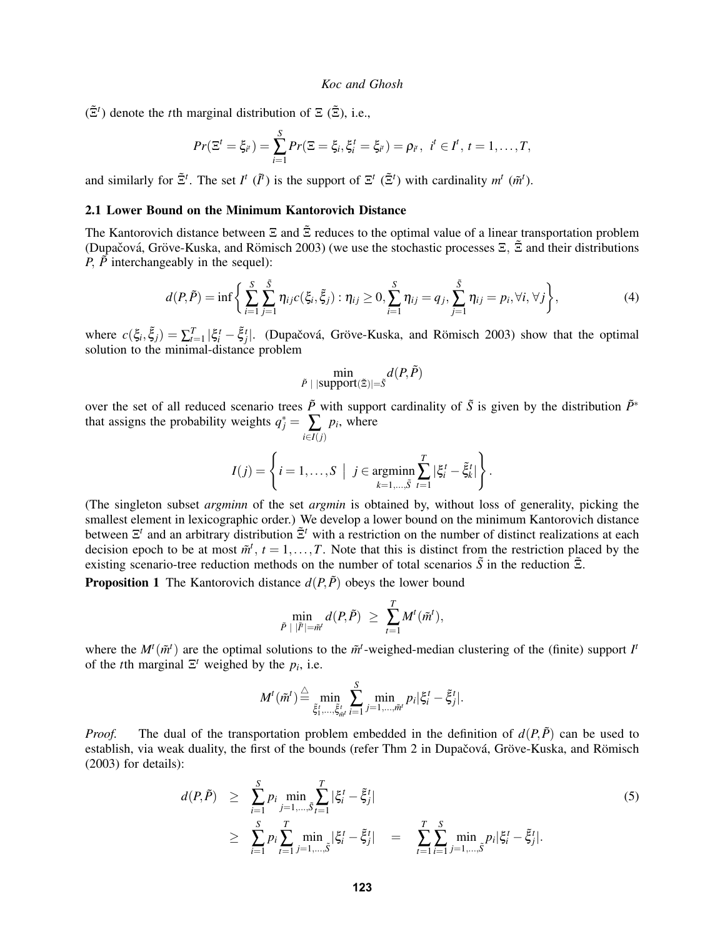$(\tilde{\Xi}^t)$  denote the *t*th marginal distribution of  $\Xi$  ( $\tilde{\Xi}$ ), i.e.,

$$
Pr(\Xi^{t} = \xi_{i^{t}}) = \sum_{i=1}^{S} Pr(\Xi = \xi_{i}, \xi_{i}^{t} = \xi_{i^{t}}) = \rho_{i^{t}}, \ \ i^{t} \in I^{t}, t = 1, ..., T,
$$

and similarly for  $\tilde{\Xi}^t$ . The set  $I^t$  ( $\tilde{I}^t$ ) is the support of  $\Xi^t$  ( $\tilde{\Xi}^t$ ) with cardinality  $m^t$  ( $\tilde{m}^t$ ).

#### 2.1 Lower Bound on the Minimum Kantorovich Distance

The Kantorovich distance between  $\Xi$  and  $\tilde{\Xi}$  reduces to the optimal value of a linear transportation problem (Dupačová, Gröve-Kuska, and Römisch 2003) (we use the stochastic processes  $\Xi$ ,  $\tilde{\Xi}$  and their distributions *P*,  $\tilde{P}$  interchangeably in the sequel):

$$
d(P,\tilde{P}) = \inf \left\{ \sum_{i=1}^{S} \sum_{j=1}^{\tilde{S}} \eta_{ij} c(\xi_i, \tilde{\xi}_j) : \eta_{ij} \ge 0, \sum_{i=1}^{S} \eta_{ij} = q_j, \sum_{j=1}^{\tilde{S}} \eta_{ij} = p_i, \forall i, \forall j \right\},
$$
(4)

where  $c(\xi_i, \tilde{\xi}_j) = \sum_{t=1}^T |\xi_i^t - \tilde{\xi}_j^t|$ . (Dupačová, Gröve-Kuska, and Römisch 2003) show that the optimal solution to the minimal-distance problem

$$
\min_{\tilde{P} \; | \; |\text{support}(\tilde{\Xi})| = \tilde{S}} d(P, \tilde{P})
$$

over the set of all reduced scenario trees  $\tilde{P}$  with support cardinality of  $\tilde{S}$  is given by the distribution  $\tilde{P}^*$ that assigns the probability weights  $q_j^* = \sum_{i \in I(j)}$  $p_i$ , where

$$
I(j) = \left\{ i = 1, \ldots, S \mid j \in \operatorname*{argmin}_{k=1,\ldots,\tilde{S}} \sum_{t=1}^{T} |\xi_i^t - \tilde{\xi}_k^t| \right\}.
$$

(The singleton subset *argminn* of the set *argmin* is obtained by, without loss of generality, picking the smallest element in lexicographic order.) We develop a lower bound on the minimum Kantorovich distance between Ξ *t* and an arbitrary distribution Ξ˜*<sup>t</sup>* with a restriction on the number of distinct realizations at each decision epoch to be at most  $\tilde{m}^t$ ,  $t = 1, \ldots, T$ . Note that this is distinct from the restriction placed by the existing scenario-tree reduction methods on the number of total scenarios  $\tilde{S}$  in the reduction  $\tilde{\Xi}$ .

**Proposition 1** The Kantorovich distance  $d(P, \tilde{P})$  obeys the lower bound

$$
\min_{\tilde{P}~|~|\tilde{I}'|=\tilde{m}'} d(P,\tilde{P})~\ge~\sum_{t=1}^T M^t(\tilde{m}^t),
$$

where the  $M^t(\tilde{m}^t)$  are the optimal solutions to the  $\tilde{m}^t$ -weighed-median clustering of the (finite) support  $I^t$ of the *t*th marginal  $\Xi^t$  weighed by the  $p_i$ , i.e.

$$
M^{t}(\tilde{m}^{t}) \stackrel{\triangle}{=} \min_{\tilde{\xi}_{1}^{t}, \dots, \tilde{\xi}_{m}^{t}} \sum_{i=1}^{S} \min_{j=1, \dots, \tilde{m}^{t}} p_{i} |\xi_{i}^{t} - \tilde{\xi}_{j}^{t}|.
$$

*Proof.* The dual of the transportation problem embedded in the definition of  $d(P, \tilde{P})$  can be used to establish, via weak duality, the first of the bounds (refer Thm 2 in Dupačová, Gröve-Kuska, and Römisch (2003) for details):

$$
d(P,\tilde{P}) \geq \sum_{i=1}^{S} p_i \min_{j=1,\dots,\tilde{S}} \sum_{t=1}^{T} |\xi_i^t - \tilde{\xi}_j^t|
$$
  
\n
$$
\geq \sum_{i=1}^{S} p_i \sum_{t=1}^{T} \min_{j=1,\dots,\tilde{S}} |\xi_i^t - \tilde{\xi}_j^t| = \sum_{t=1}^{T} \sum_{i=1}^{S} \min_{j=1,\dots,\tilde{S}} p_i |\xi_i^t - \tilde{\xi}_j^t|.
$$
\n(5)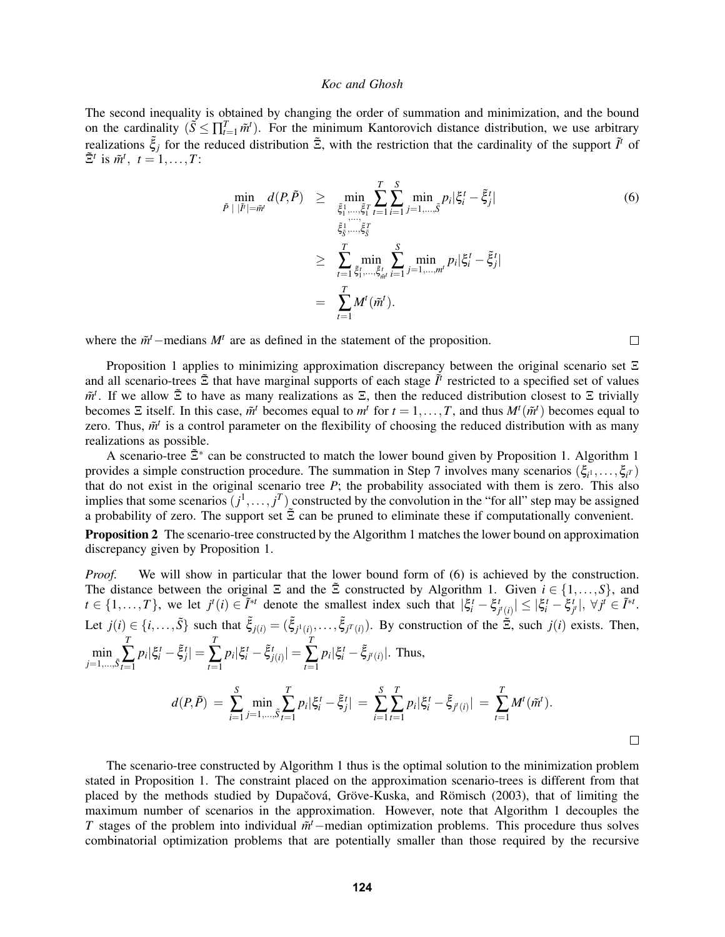The second inequality is obtained by changing the order of summation and minimization, and the bound on the cardinality  $(\tilde{S} \leq \prod_{t=1}^T \tilde{m}^t)$ . For the minimum Kantorovich distance distribution, we use arbitrary realizations  $\tilde{\xi}_j$  for the reduced distribution  $\tilde{\Xi}$ , with the restriction that the cardinality of the support  $\tilde{I}^t$  of  $\tilde{\Xi}^t$  is  $\tilde{m}^t$ ,  $t = 1, \ldots, T$ :

$$
\min_{\tilde{P} \;|\; |\tilde{I}'| = \tilde{m}'} d(P, \tilde{P}) \geq \min_{\tilde{\xi}_1^1, \dots, \tilde{\xi}_1^T} \sum_{t=1}^T \sum_{i=1}^S \min_{j=1, \dots, \tilde{S}} p_i |\xi_i^t - \tilde{\xi}_j^t|
$$
\n
$$
\geq \sum_{t=1}^T \min_{\tilde{\xi}_1^t, \dots, \tilde{\xi}_N^t} \sum_{i=1}^S \min_{j=1, \dots, m^t} p_i |\xi_i^t - \tilde{\xi}_j^t|
$$
\n
$$
= \sum_{t=1}^T M^t(\tilde{m}^t).
$$
\n(6)

 $\Box$ 

where the  $\tilde{m}$ <sup>*t*</sup> −medians  $M$ <sup>*t*</sup> are as defined in the statement of the proposition.

Proposition 1 applies to minimizing approximation discrepancy between the original scenario set  $\Xi$ and all scenario-trees  $\tilde{\Xi}$  that have marginal supports of each stage  $\tilde{I}^t$  restricted to a specified set of values  $\tilde{m}^t$ . If we allow Ξ to have as many realizations as Ξ, then the reduced distribution closest to Ξ trivially becomes  $\Xi$  itself. In this case,  $\tilde{m}^t$  becomes equal to  $m^t$  for  $t = 1, ..., T$ , and thus  $M^t(\tilde{m}^t)$  becomes equal to zero. Thus,  $\tilde{m}^t$  is a control parameter on the flexibility of choosing the reduced distribution with as many realizations as possible.

A scenario-tree  $\tilde{\Xi}^*$  can be constructed to match the lower bound given by Proposition 1. Algorithm 1 provides a simple construction procedure. The summation in Step 7 involves many scenarios  $(\xi_{i^1}, \ldots, \xi_{i^T})$ that do not exist in the original scenario tree *P*; the probability associated with them is zero. This also implies that some scenarios  $(j^1, \ldots, j^T)$  constructed by the convolution in the "for all" step may be assigned a probability of zero. The support set  $\tilde{\Xi}$  can be pruned to eliminate these if computationally convenient.

Proposition 2 The scenario-tree constructed by the Algorithm 1 matches the lower bound on approximation discrepancy given by Proposition 1.

*Proof.* We will show in particular that the lower bound form of (6) is achieved by the construction. The distance between the original  $\Xi$  and the  $\tilde{\Xi}$  constructed by Algorithm 1. Given  $i \in \{1,\ldots,S\}$ , and  $t \in \{1,\ldots,T\}$ , we let  $j^t(i) \in \tilde{I}^{*t}$  denote the smallest index such that  $|\xi_i^t - \xi_{j^t(i)}^t| \leq |\xi_i^t - \xi_{j^t}^t|, \forall j^t \in \tilde{I}^{*t}$ . Let  $j(i) \in \{i, \ldots, \tilde{S}\}$  such that  $\tilde{\xi}_{j(i)} = (\tilde{\xi}_{j^1(i)}, \ldots, \tilde{\xi}_{j^T(i)})$ . By construction of the  $\tilde{\Xi}$ , such  $j(i)$  exists. Then, *T T T*  $p_i |\xi_i^t - \tilde{\xi}_j^t| =$  $p_i |\xi_i^t - \tilde{\xi}_{j(i)}^t| =$  $p_i|\xi_i^t - \tilde{\xi}_{j^t(i)}|$ . Thus,  $\sum_{t=1}$  $\sum_{t=1}$  $\sum_{t=1}$  $\min_{j=1,\ldots,\tilde{S}}$  $d(P,\tilde{P}) = \sum_{i=1}^{S}$ *T S T T*  $p_i |\xi_i^t - \tilde{\xi}_j^t| =$  $p_i |\xi_i^t - \tilde{\xi}_{j^t(i)}| =$  $M^t(\tilde{m}^t)$ . ∑ *i*=1  $\sum_{t=1}$ ∑ *i*=1  $\sum_{t=1}$  $\sum_{t=1}$  $\min_{j=1,\ldots,\tilde{S}}$  $\Box$ 

The scenario-tree constructed by Algorithm 1 thus is the optimal solution to the minimization problem stated in Proposition 1. The constraint placed on the approximation scenario-trees is different from that placed by the methods studied by Dupačová, Gröve-Kuska, and Römisch (2003), that of limiting the maximum number of scenarios in the approximation. However, note that Algorithm 1 decouples the *T* stages of the problem into individual  $\tilde{m}$ <sup>*t*</sup>−median optimization problems. This procedure thus solves combinatorial optimization problems that are potentially smaller than those required by the recursive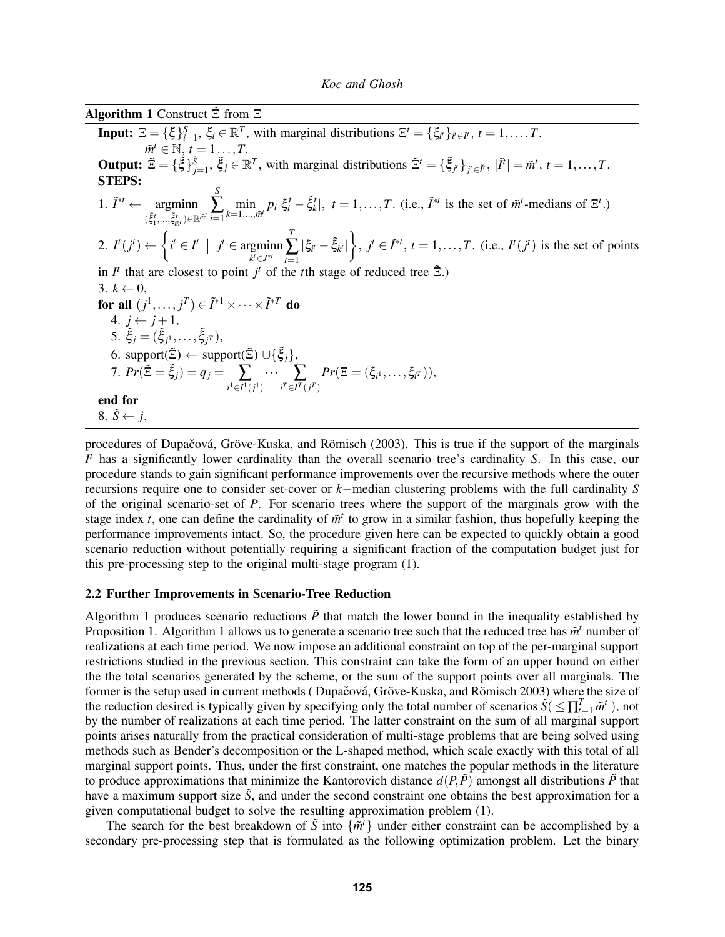Algorithm 1 Construct  $\tilde{\Xi}$  from  $\Xi$ **Input:**  $\mathbf{E} = {\xi \xi}_{i=1}^S$ ,  $\xi_i \in \mathbb{R}^T$ , with marginal distributions  $\mathbf{E}^t = {\xi_i}_{t}$ ,  $t = 1, ..., T$ .  $\tilde{m}^t \in \mathbb{N}, t = 1 \ldots, T.$ **Output:**  $\tilde{\Xi} = {\{\tilde{\xi}\}}_{j=1}^{\tilde{S}}, \tilde{\xi}_j \in \mathbb{R}^T$ , with marginal distributions  $\tilde{\Xi}^t = {\{\tilde{\xi}_{j'}\}}_{j' \in \tilde{I}^t}, |\tilde{I}^t| = \tilde{m}^t, t = 1, \ldots, T$ . STEPS: 1.  $\tilde{I}^{*t} \leftarrow \text{argmin}$  $(\tilde{\xi}^t_1, \ldots, \tilde{\xi}^t_{\tilde{m}^t}) \in \mathbb{R}^{\tilde{m}^t}$ *m*˜ *S* ∑ *i*=1  $\min_{k=1,\dots,\tilde{m}'} p_i |\xi_i^t - \tilde{\xi}_k^t|, t = 1,\dots,T$ . (i.e.,  $\tilde{I}^{*t}$  is the set of  $\tilde{m}^t$ -medians of  $\Xi^t$ .) 2.  $I^t(j^t) \leftarrow \begin{cases} i^t \in I^t \mid j^t \in \text{argmin}_{l \in \mathbb{Z}^d} \\ i^t \in \mathbb{Z}^d \mid j^t \in \mathbb{Z}^d \end{cases}$ *k <sup>t</sup>*∈*J* ∗*t T*  $\sum_{t=1}$  $|\xi_i - \xi_{k'}|$ ,  $j' \in \tilde{I}^{*t}$ ,  $t = 1, ..., T$ . (i.e.,  $I^t(j^t)$  is the set of points in  $I^t$  that are closest to point  $j^t$  of the *t*<sup>th</sup> stage of reduced tree  $\tilde{\Xi}$ .) 3.  $k \leftarrow 0$ , for all  $(j^1, \ldots, j^T) \in \tilde{I}^{*1} \times \cdots \times \tilde{I}^{*T}$  do 4. *j* ← *j* +1, 5.  $\tilde{\xi}_j = (\tilde{\xi}_{j1}, \ldots, \tilde{\xi}_{jT}),$  $6.$  support( $\tilde{\Xi}$ )  $\leftarrow$  support( $\tilde{\Xi}$ ) ∪{ $\tilde{\xi}_j$ }, 7.  $Pr(\tilde{\Xi} = \tilde{\xi}_j) = q_j = \sum_{i^1 \in I^1(j^1)} \cdots \sum_{i^T \in I^T(j^T)}$  $Pr(\Xi=(\xi_{i^1},\ldots,\xi_{i^T})),$ end for 8.  $\tilde{S} \leftarrow j$ .

procedures of Dupačová, Gröve-Kuska, and Römisch (2003). This is true if the support of the marginals *I <sup>t</sup>* has a significantly lower cardinality than the overall scenario tree's cardinality *S*. In this case, our procedure stands to gain significant performance improvements over the recursive methods where the outer recursions require one to consider set-cover or *k*−median clustering problems with the full cardinality *S* of the original scenario-set of *P*. For scenario trees where the support of the marginals grow with the stage index *t*, one can define the cardinality of  $\tilde{m}^t$  to grow in a similar fashion, thus hopefully keeping the performance improvements intact. So, the procedure given here can be expected to quickly obtain a good scenario reduction without potentially requiring a significant fraction of the computation budget just for this pre-processing step to the original multi-stage program (1).

### 2.2 Further Improvements in Scenario-Tree Reduction

Algorithm 1 produces scenario reductions  $\tilde{P}$  that match the lower bound in the inequality established by Proposition 1. Algorithm 1 allows us to generate a scenario tree such that the reduced tree has  $\tilde{m}^t$  number of realizations at each time period. We now impose an additional constraint on top of the per-marginal support restrictions studied in the previous section. This constraint can take the form of an upper bound on either the the total scenarios generated by the scheme, or the sum of the support points over all marginals. The former is the setup used in current methods (Dupačová, Gröve-Kuska, and Römisch 2003) where the size of the reduction desired is typically given by specifying only the total number of scenarios  $\tilde{S}(\leq \prod_{t=1}^T \tilde{m}^t)$ , not by the number of realizations at each time period. The latter constraint on the sum of all marginal support points arises naturally from the practical consideration of multi-stage problems that are being solved using methods such as Bender's decomposition or the L-shaped method, which scale exactly with this total of all marginal support points. Thus, under the first constraint, one matches the popular methods in the literature to produce approximations that minimize the Kantorovich distance  $d(P, \tilde{P})$  amongst all distributions  $\tilde{P}$  that have a maximum support size  $\tilde{S}$ , and under the second constraint one obtains the best approximation for a given computational budget to solve the resulting approximation problem (1).

The search for the best breakdown of  $\tilde{S}$  into  $\{\tilde{m}^t\}$  under either constraint can be accomplished by a secondary pre-processing step that is formulated as the following optimization problem. Let the binary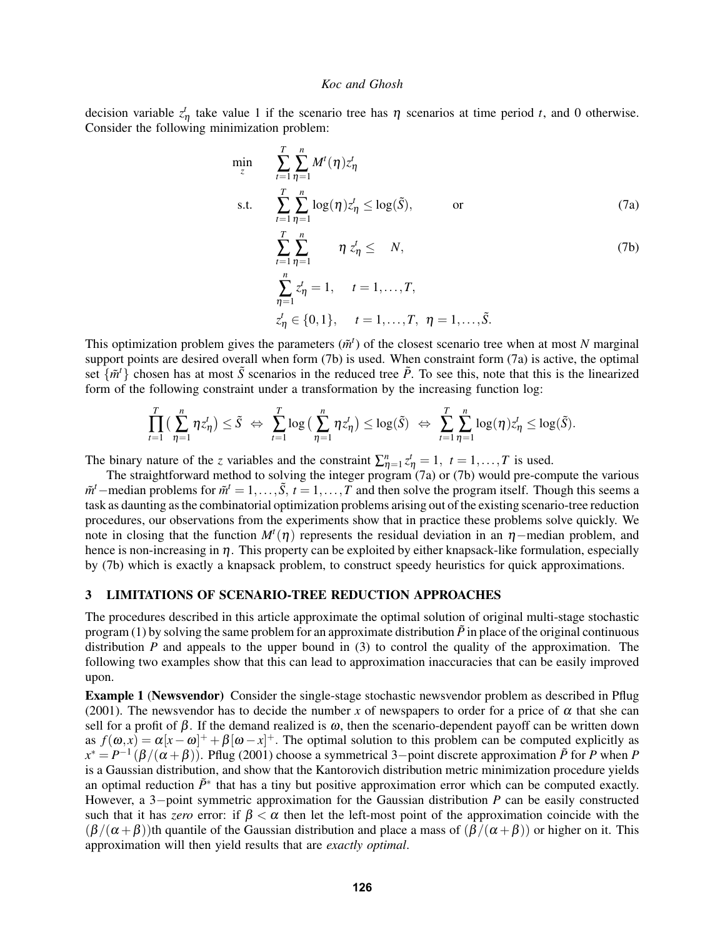decision variable  $z^t$  take value 1 if the scenario tree has  $\eta$  scenarios at time period *t*, and 0 otherwise. Consider the following minimization problem:

$$
\min_{z} \sum_{t=1}^{T} \sum_{\eta=1}^{n} M^{t}(\eta) z_{\eta}^{t}
$$
\n
$$
\text{s.t.} \sum_{t=1}^{T} \sum_{\eta=1}^{n} \log(\eta) z_{\eta}^{t} \le \log(\tilde{S}), \quad \text{or}
$$
\n
$$
\sum_{t=1}^{T} \sum_{\eta=1}^{n} \eta z_{\eta}^{t} \le N, \quad \text{(7b)}
$$
\n
$$
\sum_{\eta=1}^{n} z_{\eta}^{t} = 1, \quad t = 1, ..., T, \quad z_{\eta}^{t} \in \{0, 1\}, \quad t = 1, ..., T, \quad \eta = 1, ..., \tilde{S}.
$$
\n(77)

This optimization problem gives the parameters  $(\tilde{m}^t)$  of the closest scenario tree when at most *N* marginal support points are desired overall when form (7b) is used. When constraint form (7a) is active, the optimal set  $\{\tilde{m}^t\}$  chosen has at most  $\tilde{S}$  scenarios in the reduced tree  $\tilde{P}$ . To see this, note that this is the linearized form of the following constraint under a transformation by the increasing function log:

$$
\prod_{t=1}^T \big( \sum_{\eta=1}^n \eta z_\eta^t \big) \le \tilde{S} \; \Leftrightarrow \; \sum_{t=1}^T \log \big( \sum_{\eta=1}^n \eta z_\eta^t \big) \le \log(\tilde{S}) \; \Leftrightarrow \; \sum_{t=1}^T \sum_{\eta=1}^n \log(\eta) z_\eta^t \le \log(\tilde{S}).
$$

The binary nature of the *z* variables and the constraint  $\sum_{\eta=1}^{n} z_{\eta}^{t} = 1, t = 1,...,T$  is used.

The straightforward method to solving the integer program (7a) or (7b) would pre-compute the various  $\tilde{m}^t$ −median problems for  $\tilde{m}^t = 1, \ldots, \tilde{S}$ ,  $t = 1, \ldots, T$  and then solve the program itself. Though this seems a task as daunting as the combinatorial optimization problems arising out of the existing scenario-tree reduction procedures, our observations from the experiments show that in practice these problems solve quickly. We note in closing that the function  $M^t(\eta)$  represents the residual deviation in an  $\eta$ -median problem, and hence is non-increasing in  $\eta$ . This property can be exploited by either knapsack-like formulation, especially by (7b) which is exactly a knapsack problem, to construct speedy heuristics for quick approximations.

## 3 LIMITATIONS OF SCENARIO-TREE REDUCTION APPROACHES

The procedures described in this article approximate the optimal solution of original multi-stage stochastic program (1) by solving the same problem for an approximate distribution  $\tilde{P}$  in place of the original continuous distribution *P* and appeals to the upper bound in (3) to control the quality of the approximation. The following two examples show that this can lead to approximation inaccuracies that can be easily improved upon.

Example 1 (Newsvendor) Consider the single-stage stochastic newsvendor problem as described in Pflug (2001). The newsvendor has to decide the number x of newspapers to order for a price of  $\alpha$  that she can sell for a profit of  $\beta$ . If the demand realized is  $\omega$ , then the scenario-dependent payoff can be written down as  $f(\omega, x) = \alpha[x - \omega]^+ + \beta[\omega - x]^+$ . The optimal solution to this problem can be computed explicitly as  $x^* = P^{-1}(\beta/(\alpha + \beta))$ . Pflug (2001) choose a symmetrical 3-point discrete approximation  $\tilde{P}$  for *P* when *P* is a Gaussian distribution, and show that the Kantorovich distribution metric minimization procedure yields an optimal reduction  $\tilde{P}^*$  that has a tiny but positive approximation error which can be computed exactly. However, a 3−point symmetric approximation for the Gaussian distribution *P* can be easily constructed such that it has *zero* error: if  $\beta < \alpha$  then let the left-most point of the approximation coincide with the  $(\beta/(\alpha+\beta))$ th quantile of the Gaussian distribution and place a mass of  $(\beta/(\alpha+\beta))$  or higher on it. This approximation will then yield results that are *exactly optimal*.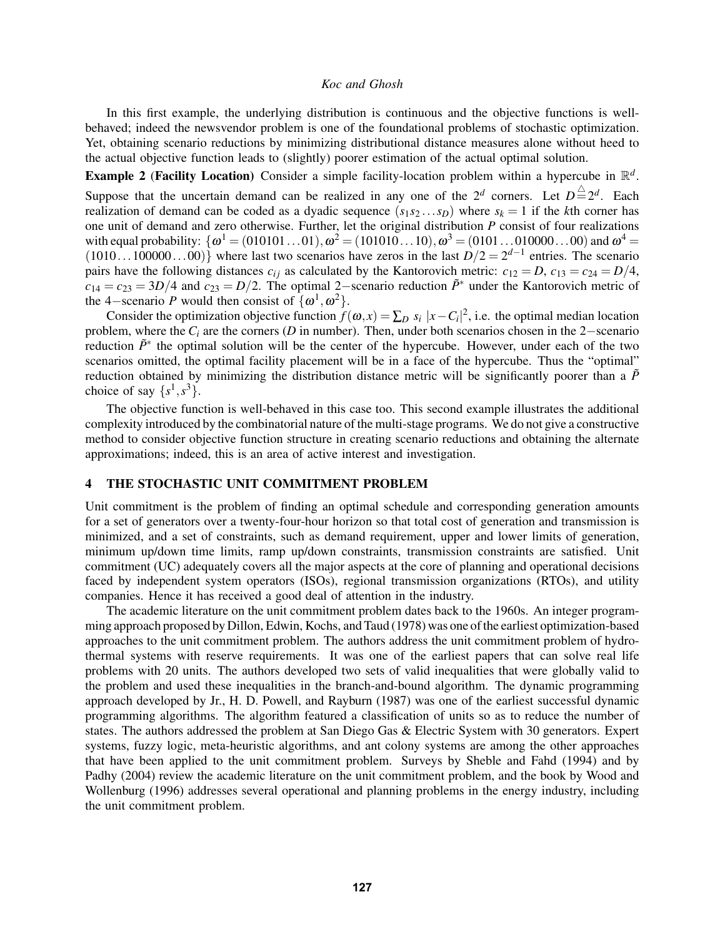In this first example, the underlying distribution is continuous and the objective functions is wellbehaved; indeed the newsvendor problem is one of the foundational problems of stochastic optimization. Yet, obtaining scenario reductions by minimizing distributional distance measures alone without heed to the actual objective function leads to (slightly) poorer estimation of the actual optimal solution.

**Example 2** (Facility Location) Consider a simple facility-location problem within a hypercube in  $\mathbb{R}^d$ .

Suppose that the uncertain demand can be realized in any one of the  $2^d$  corners. Let  $D \stackrel{\triangle}{=} 2^d$ . Each realization of demand can be coded as a dyadic sequence  $(s_1 s_2 ... s_D)$  where  $s_k = 1$  if the *k*th corner has one unit of demand and zero otherwise. Further, let the original distribution *P* consist of four realizations with equal probability:  $\{\omega^1 = (010101...01), \omega^2 = (101010...10), \omega^3 = (0101...010000...00)$  and  $\omega^4 =$  $(1010...100000...00)$  where last two scenarios have zeros in the last  $D/2 = 2^{d-1}$  entries. The scenario pairs have the following distances  $c_{ij}$  as calculated by the Kantorovich metric:  $c_{12} = D$ ,  $c_{13} = c_{24} = D/4$ ,  $c_{14} = c_{23} = 3D/4$  and  $c_{23} = D/2$ . The optimal 2–scenario reduction  $\tilde{P}^*$  under the Kantorovich metric of the 4–scenario *P* would then consist of  $\{\omega^1, \omega^2\}$ .

Consider the optimization objective function  $f(\omega, x) = \sum_D s_i |x - C_i|^2$ , i.e. the optimal median location problem, where the *C<sup>i</sup>* are the corners (*D* in number). Then, under both scenarios chosen in the 2−scenario reduction  $\tilde{P}^*$  the optimal solution will be the center of the hypercube. However, under each of the two scenarios omitted, the optimal facility placement will be in a face of the hypercube. Thus the "optimal" reduction obtained by minimizing the distribution distance metric will be significantly poorer than a  $\tilde{P}$ choice of say  $\{s^1, s^3\}$ .

The objective function is well-behaved in this case too. This second example illustrates the additional complexity introduced by the combinatorial nature of the multi-stage programs. We do not give a constructive method to consider objective function structure in creating scenario reductions and obtaining the alternate approximations; indeed, this is an area of active interest and investigation.

## 4 THE STOCHASTIC UNIT COMMITMENT PROBLEM

Unit commitment is the problem of finding an optimal schedule and corresponding generation amounts for a set of generators over a twenty-four-hour horizon so that total cost of generation and transmission is minimized, and a set of constraints, such as demand requirement, upper and lower limits of generation, minimum up/down time limits, ramp up/down constraints, transmission constraints are satisfied. Unit commitment (UC) adequately covers all the major aspects at the core of planning and operational decisions faced by independent system operators (ISOs), regional transmission organizations (RTOs), and utility companies. Hence it has received a good deal of attention in the industry.

The academic literature on the unit commitment problem dates back to the 1960s. An integer programming approach proposed by Dillon, Edwin, Kochs, and Taud (1978) was one of the earliest optimization-based approaches to the unit commitment problem. The authors address the unit commitment problem of hydrothermal systems with reserve requirements. It was one of the earliest papers that can solve real life problems with 20 units. The authors developed two sets of valid inequalities that were globally valid to the problem and used these inequalities in the branch-and-bound algorithm. The dynamic programming approach developed by Jr., H. D. Powell, and Rayburn (1987) was one of the earliest successful dynamic programming algorithms. The algorithm featured a classification of units so as to reduce the number of states. The authors addressed the problem at San Diego Gas & Electric System with 30 generators. Expert systems, fuzzy logic, meta-heuristic algorithms, and ant colony systems are among the other approaches that have been applied to the unit commitment problem. Surveys by Sheble and Fahd (1994) and by Padhy (2004) review the academic literature on the unit commitment problem, and the book by Wood and Wollenburg (1996) addresses several operational and planning problems in the energy industry, including the unit commitment problem.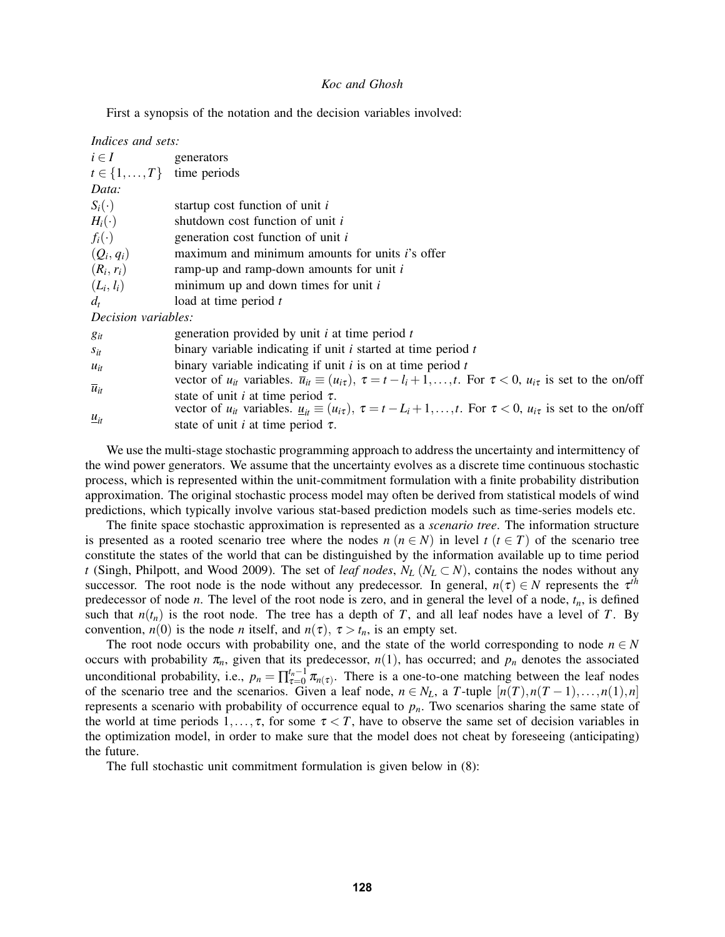First a synopsis of the notation and the decision variables involved:

| Indices and sets:                     |                                                                                                                                                         |
|---------------------------------------|---------------------------------------------------------------------------------------------------------------------------------------------------------|
| $i \in I$                             | generators                                                                                                                                              |
| $t \in \{1, \ldots, T\}$ time periods |                                                                                                                                                         |
| Data:                                 |                                                                                                                                                         |
| $S_i(\cdot)$                          | startup cost function of unit i                                                                                                                         |
| $H_i(\cdot)$                          | shutdown cost function of unit i                                                                                                                        |
| $f_i(\cdot)$                          | generation cost function of unit i                                                                                                                      |
| $(Q_i,q_i)$                           | maximum and minimum amounts for units <i>i</i> 's offer                                                                                                 |
| $(R_i, r_i)$                          | ramp-up and ramp-down amounts for unit $i$                                                                                                              |
| $(L_i, l_i)$                          | minimum up and down times for unit $i$                                                                                                                  |
| $d_t$                                 | load at time period t                                                                                                                                   |
| <i>Decision variables:</i>            |                                                                                                                                                         |
| $g_{it}$                              | generation provided by unit $i$ at time period $t$                                                                                                      |
| $S_{it}$                              | binary variable indicating if unit $i$ started at time period $t$                                                                                       |
| $u_{it}$                              | binary variable indicating if unit $i$ is on at time period $t$                                                                                         |
| $\overline{u}_{it}$                   | vector of $u_{it}$ variables. $\overline{u}_{it} \equiv (u_{i\tau}), \tau = t - l_i + 1, \ldots, t$ . For $\tau < 0$ , $u_{i\tau}$ is set to the on/off |
|                                       | state of unit <i>i</i> at time period $\tau$ .                                                                                                          |
| $\underline{u}_{it}$                  | vector of $u_{it}$ variables. $u_{it} \equiv (u_{i\tau})$ , $\tau = t - L_i + 1, , t$ . For $\tau < 0$ , $u_{i\tau}$ is set to the on/off               |
|                                       | state of unit <i>i</i> at time period $\tau$ .                                                                                                          |

We use the multi-stage stochastic programming approach to address the uncertainty and intermittency of the wind power generators. We assume that the uncertainty evolves as a discrete time continuous stochastic process, which is represented within the unit-commitment formulation with a finite probability distribution approximation. The original stochastic process model may often be derived from statistical models of wind predictions, which typically involve various stat-based prediction models such as time-series models etc.

The finite space stochastic approximation is represented as a *scenario tree*. The information structure is presented as a rooted scenario tree where the nodes  $n (n \in N)$  in level  $t (t \in T)$  of the scenario tree constitute the states of the world that can be distinguished by the information available up to time period *t* (Singh, Philpott, and Wood 2009). The set of *leaf nodes*,  $N_L$  ( $N_L \subset N$ ), contains the nodes without any successor. The root node is the node without any predecessor. In general,  $n(\tau) \in N$  represents the  $\tau^{th}$ predecessor of node *n*. The level of the root node is zero, and in general the level of a node, *tn*, is defined such that  $n(t_n)$  is the root node. The tree has a depth of *T*, and all leaf nodes have a level of *T*. By convention,  $n(0)$  is the node *n* itself, and  $n(\tau)$ ,  $\tau > t_n$ , is an empty set.

The root node occurs with probability one, and the state of the world corresponding to node  $n \in N$ occurs with probability  $\pi_n$ , given that its predecessor,  $n(1)$ , has occurred; and  $p_n$  denotes the associated unconditional probability, i.e.,  $p_n = \prod_{\tau=0}^{t_n-1}$  $\tau_{\tau=0}^{t_n-1}$   $\pi_{n(\tau)}$ . There is a one-to-one matching between the leaf nodes of the scenario tree and the scenarios. Given a leaf node,  $n \in N_L$ , a *T*-tuple  $[n(T), n(T-1), \ldots, n(1), n]$ represents a scenario with probability of occurrence equal to *pn*. Two scenarios sharing the same state of the world at time periods  $1, \ldots, \tau$ , for some  $\tau < T$ , have to observe the same set of decision variables in the optimization model, in order to make sure that the model does not cheat by foreseeing (anticipating) the future.

The full stochastic unit commitment formulation is given below in (8):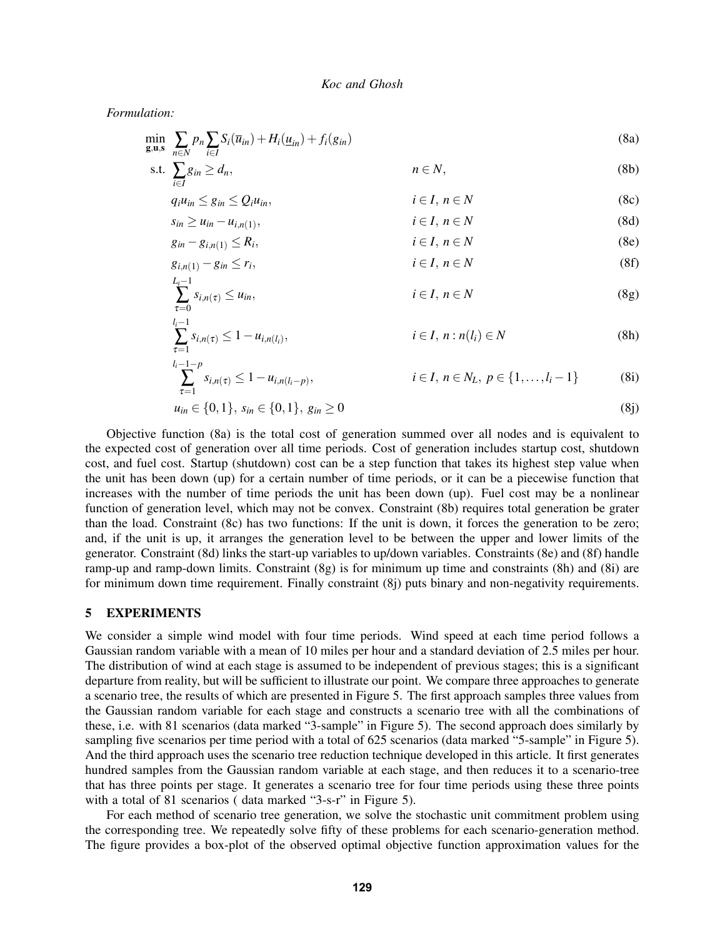*Formulation:*

$$
\min_{\mathbf{g}, \mathbf{u}, \mathbf{s}} \sum_{n \in N} p_n \sum_{i \in I} S_i(\overline{u}_{in}) + H_i(\underline{u}_{in}) + f_i(g_{in})
$$
\n
$$
\text{s.t. } \sum_{i \in I} g_{in} \ge d_n, \qquad n \in N,
$$
\n
$$
(8b)
$$

$$
q_i u_{in} \le g_{in} \le Q_i u_{in}, \qquad i \in I, n \in N \tag{8c}
$$

$$
s_{in} \ge u_{in} - u_{i,n(1)}, \qquad i \in I, n \in N \tag{8d}
$$

$$
g_{in} - g_{i,n(1)} \le R_i, \qquad i \in I, n \in N
$$
\n(8e)

$$
g_{i,n(1)} - g_{in} \le r_i, \qquad i \in I, n \in N \tag{8f}
$$

$$
\sum_{\tau=0}^{L_i-1} s_{i,n(\tau)} \le u_{in}, \qquad i \in I, n \in N \tag{8g}
$$

$$
\sum_{\tau=1}^{l_i-1} s_{i,n(\tau)} \le 1 - u_{i,n(l_i)}, \qquad i \in I, \, n : n(l_i) \in N \tag{8h}
$$

$$
\sum_{\tau=1}^{l_i-1-p} s_{i,n(\tau)} \le 1 - u_{i,n(l_i-p)}, \qquad i \in I, n \in N_L, p \in \{1, \ldots, l_i-1\}
$$
 (8i)

$$
u_{in} \in \{0, 1\}, \, s_{in} \in \{0, 1\}, \, g_{in} \ge 0 \tag{8j}
$$

Objective function (8a) is the total cost of generation summed over all nodes and is equivalent to the expected cost of generation over all time periods. Cost of generation includes startup cost, shutdown cost, and fuel cost. Startup (shutdown) cost can be a step function that takes its highest step value when the unit has been down (up) for a certain number of time periods, or it can be a piecewise function that increases with the number of time periods the unit has been down (up). Fuel cost may be a nonlinear function of generation level, which may not be convex. Constraint (8b) requires total generation be grater than the load. Constraint (8c) has two functions: If the unit is down, it forces the generation to be zero; and, if the unit is up, it arranges the generation level to be between the upper and lower limits of the generator. Constraint (8d) links the start-up variables to up/down variables. Constraints (8e) and (8f) handle ramp-up and ramp-down limits. Constraint (8g) is for minimum up time and constraints (8h) and (8i) are for minimum down time requirement. Finally constraint (8j) puts binary and non-negativity requirements.

## 5 EXPERIMENTS

We consider a simple wind model with four time periods. Wind speed at each time period follows a Gaussian random variable with a mean of 10 miles per hour and a standard deviation of 2.5 miles per hour. The distribution of wind at each stage is assumed to be independent of previous stages; this is a significant departure from reality, but will be sufficient to illustrate our point. We compare three approaches to generate a scenario tree, the results of which are presented in Figure 5. The first approach samples three values from the Gaussian random variable for each stage and constructs a scenario tree with all the combinations of these, i.e. with 81 scenarios (data marked "3-sample" in Figure 5). The second approach does similarly by sampling five scenarios per time period with a total of 625 scenarios (data marked "5-sample" in Figure 5). And the third approach uses the scenario tree reduction technique developed in this article. It first generates hundred samples from the Gaussian random variable at each stage, and then reduces it to a scenario-tree that has three points per stage. It generates a scenario tree for four time periods using these three points with a total of 81 scenarios (data marked "3-s-r" in Figure 5).

For each method of scenario tree generation, we solve the stochastic unit commitment problem using the corresponding tree. We repeatedly solve fifty of these problems for each scenario-generation method. The figure provides a box-plot of the observed optimal objective function approximation values for the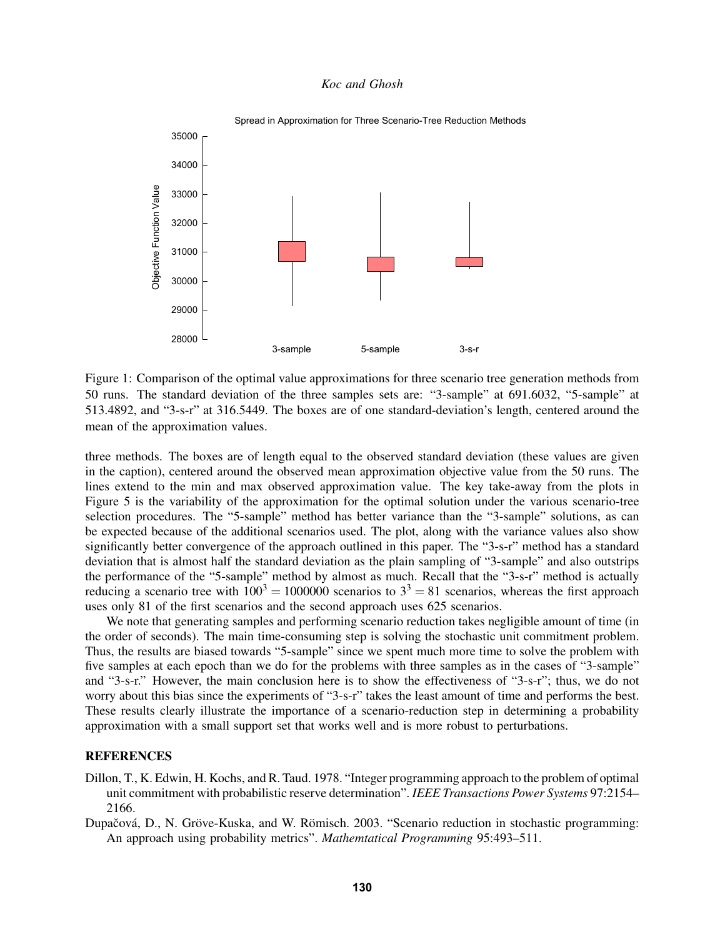

Spread in Approximation for Three Scenario-Tree Reduction Methods

Figure 1: Comparison of the optimal value approximations for three scenario tree generation methods from 50 runs. The standard deviation of the three samples sets are: "3-sample" at 691.6032, "5-sample" at 513.4892, and "3-s-r" at 316.5449. The boxes are of one standard-deviation's length, centered around the mean of the approximation values.

three methods. The boxes are of length equal to the observed standard deviation (these values are given in the caption), centered around the observed mean approximation objective value from the 50 runs. The lines extend to the min and max observed approximation value. The key take-away from the plots in Figure 5 is the variability of the approximation for the optimal solution under the various scenario-tree selection procedures. The "5-sample" method has better variance than the "3-sample" solutions, as can be expected because of the additional scenarios used. The plot, along with the variance values also show significantly better convergence of the approach outlined in this paper. The "3-s-r" method has a standard deviation that is almost half the standard deviation as the plain sampling of "3-sample" and also outstrips the performance of the "5-sample" method by almost as much. Recall that the "3-s-r" method is actually reducing a scenario tree with  $100^3 = 1000000$  scenarios to  $3^3 = 81$  scenarios, whereas the first approach uses only 81 of the first scenarios and the second approach uses 625 scenarios.

We note that generating samples and performing scenario reduction takes negligible amount of time (in the order of seconds). The main time-consuming step is solving the stochastic unit commitment problem. Thus, the results are biased towards "5-sample" since we spent much more time to solve the problem with five samples at each epoch than we do for the problems with three samples as in the cases of "3-sample" and "3-s-r." However, the main conclusion here is to show the effectiveness of "3-s-r"; thus, we do not worry about this bias since the experiments of "3-s-r" takes the least amount of time and performs the best. These results clearly illustrate the importance of a scenario-reduction step in determining a probability approximation with a small support set that works well and is more robust to perturbations.

### **REFERENCES**

- Dillon, T., K. Edwin, H. Kochs, and R. Taud. 1978. "Integer programming approach to the problem of optimal unit commitment with probabilistic reserve determination". *IEEE Transactions Power Systems* 97:2154– 2166.
- Dupačová, D., N. Gröve-Kuska, and W. Römisch. 2003. "Scenario reduction in stochastic programming: An approach using probability metrics". *Mathemtatical Programming* 95:493–511.